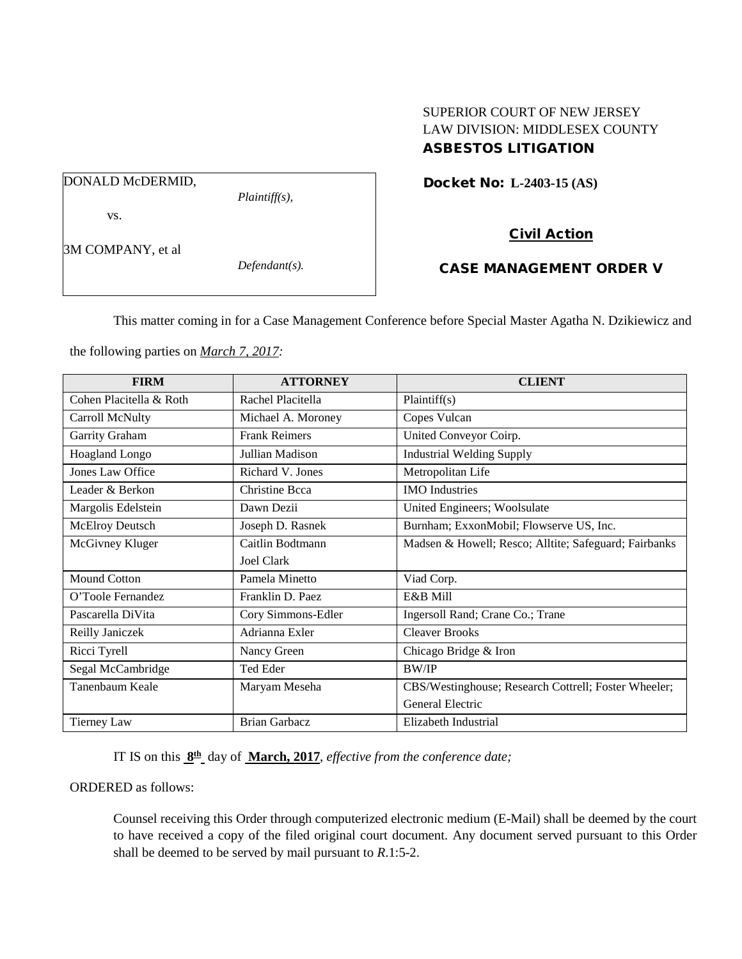# SUPERIOR COURT OF NEW JERSEY LAW DIVISION: MIDDLESEX COUNTY ASBESTOS LITIGATION

Docket No: **L-2403-15 (AS)** 

DONALD McDERMID,

vs.

3M COMPANY, et al

*Defendant(s).*

*Plaintiff(s),*

Civil Action CASE MANAGEMENT ORDER V

This matter coming in for a Case Management Conference before Special Master Agatha N. Dzikiewicz and

the following parties on *March 7, 2017:*

| <b>FIRM</b>             | <b>ATTORNEY</b>      | <b>CLIENT</b>                                         |
|-------------------------|----------------------|-------------------------------------------------------|
| Cohen Placitella & Roth | Rachel Placitella    | Plaintiff(s)                                          |
| Carroll McNulty         | Michael A. Moroney   | Copes Vulcan                                          |
| Garrity Graham          | <b>Frank Reimers</b> | United Conveyor Coirp.                                |
| <b>Hoagland Longo</b>   | Jullian Madison      | <b>Industrial Welding Supply</b>                      |
| <b>Jones Law Office</b> | Richard V. Jones     | Metropolitan Life                                     |
| Leader & Berkon         | Christine Bcca       | <b>IMO</b> Industries                                 |
| Margolis Edelstein      | Dawn Dezii           | United Engineers; Woolsulate                          |
| <b>McElroy Deutsch</b>  | Joseph D. Rasnek     | Burnham; ExxonMobil; Flowserve US, Inc.               |
| McGivney Kluger         | Caitlin Bodtmann     | Madsen & Howell; Resco; Alltite; Safeguard; Fairbanks |
|                         | Joel Clark           |                                                       |
| <b>Mound Cotton</b>     | Pamela Minetto       | Viad Corp.                                            |
| O'Toole Fernandez       | Franklin D. Paez     | E&B Mill                                              |
| Pascarella DiVita       | Cory Simmons-Edler   | Ingersoll Rand; Crane Co.; Trane                      |
| Reilly Janiczek         | Adrianna Exler       | <b>Cleaver Brooks</b>                                 |
| Ricci Tyrell            | Nancy Green          | Chicago Bridge & Iron                                 |
| Segal McCambridge       | Ted Eder             | <b>BW/IP</b>                                          |
| Tanenbaum Keale         | Maryam Meseha        | CBS/Westinghouse; Research Cottrell; Foster Wheeler;  |
|                         |                      | General Electric                                      |
| Tierney Law             | <b>Brian Garbacz</b> | Elizabeth Industrial                                  |

IT IS on this **8th** day of **March, 2017**, *effective from the conference date;*

## ORDERED as follows:

Counsel receiving this Order through computerized electronic medium (E-Mail) shall be deemed by the court to have received a copy of the filed original court document. Any document served pursuant to this Order shall be deemed to be served by mail pursuant to *R*.1:5-2.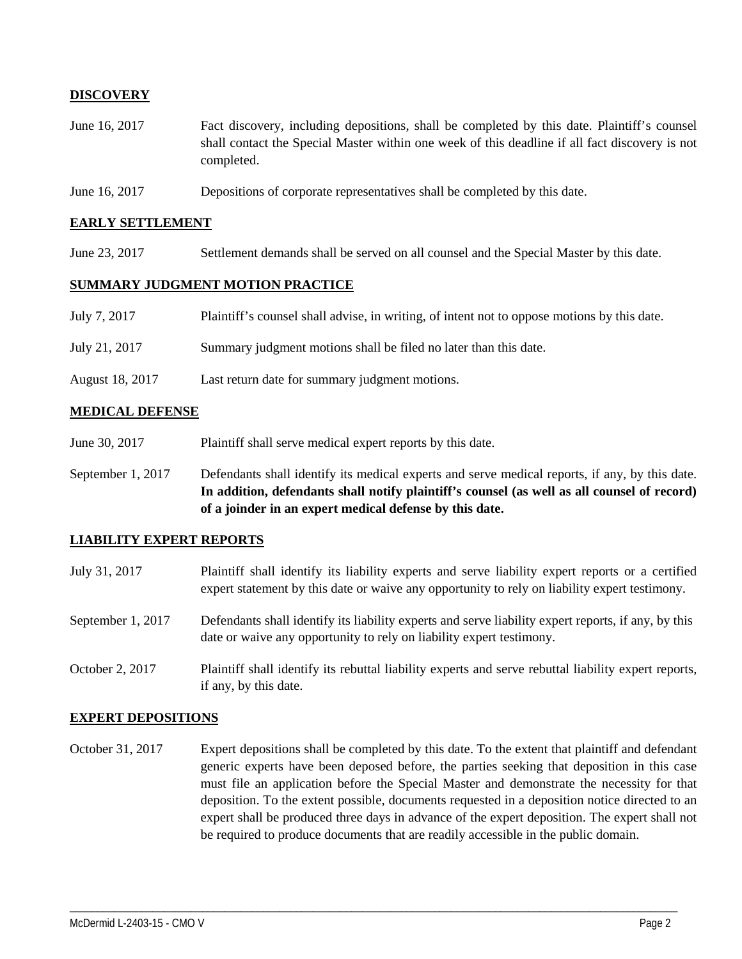## **DISCOVERY**

- June 16, 2017 Fact discovery, including depositions, shall be completed by this date. Plaintiff's counsel shall contact the Special Master within one week of this deadline if all fact discovery is not completed.
- June 16, 2017 Depositions of corporate representatives shall be completed by this date.

### **EARLY SETTLEMENT**

June 23, 2017 Settlement demands shall be served on all counsel and the Special Master by this date.

#### **SUMMARY JUDGMENT MOTION PRACTICE**

| July 7, 2017    | Plaintiff's counsel shall advise, in writing, of intent not to oppose motions by this date. |
|-----------------|---------------------------------------------------------------------------------------------|
| July 21, 2017   | Summary judgment motions shall be filed no later than this date.                            |
| August 18, 2017 | Last return date for summary judgment motions.                                              |

#### **MEDICAL DEFENSE**

- June 30, 2017 Plaintiff shall serve medical expert reports by this date.
- September 1, 2017 Defendants shall identify its medical experts and serve medical reports, if any, by this date. **In addition, defendants shall notify plaintiff's counsel (as well as all counsel of record) of a joinder in an expert medical defense by this date.**

### **LIABILITY EXPERT REPORTS**

| July 31, 2017     | Plaintiff shall identify its liability experts and serve liability expert reports or a certified<br>expert statement by this date or waive any opportunity to rely on liability expert testimony. |
|-------------------|---------------------------------------------------------------------------------------------------------------------------------------------------------------------------------------------------|
| September 1, 2017 | Defendants shall identify its liability experts and serve liability expert reports, if any, by this<br>date or waive any opportunity to rely on liability expert testimony.                       |
| October 2, 2017   | Plaintiff shall identify its rebuttal liability experts and serve rebuttal liability expert reports,<br>if any, by this date.                                                                     |

#### **EXPERT DEPOSITIONS**

October 31, 2017 Expert depositions shall be completed by this date. To the extent that plaintiff and defendant generic experts have been deposed before, the parties seeking that deposition in this case must file an application before the Special Master and demonstrate the necessity for that deposition. To the extent possible, documents requested in a deposition notice directed to an expert shall be produced three days in advance of the expert deposition. The expert shall not be required to produce documents that are readily accessible in the public domain.

\_\_\_\_\_\_\_\_\_\_\_\_\_\_\_\_\_\_\_\_\_\_\_\_\_\_\_\_\_\_\_\_\_\_\_\_\_\_\_\_\_\_\_\_\_\_\_\_\_\_\_\_\_\_\_\_\_\_\_\_\_\_\_\_\_\_\_\_\_\_\_\_\_\_\_\_\_\_\_\_\_\_\_\_\_\_\_\_\_\_\_\_\_\_\_\_\_\_\_\_\_\_\_\_\_\_\_\_\_\_